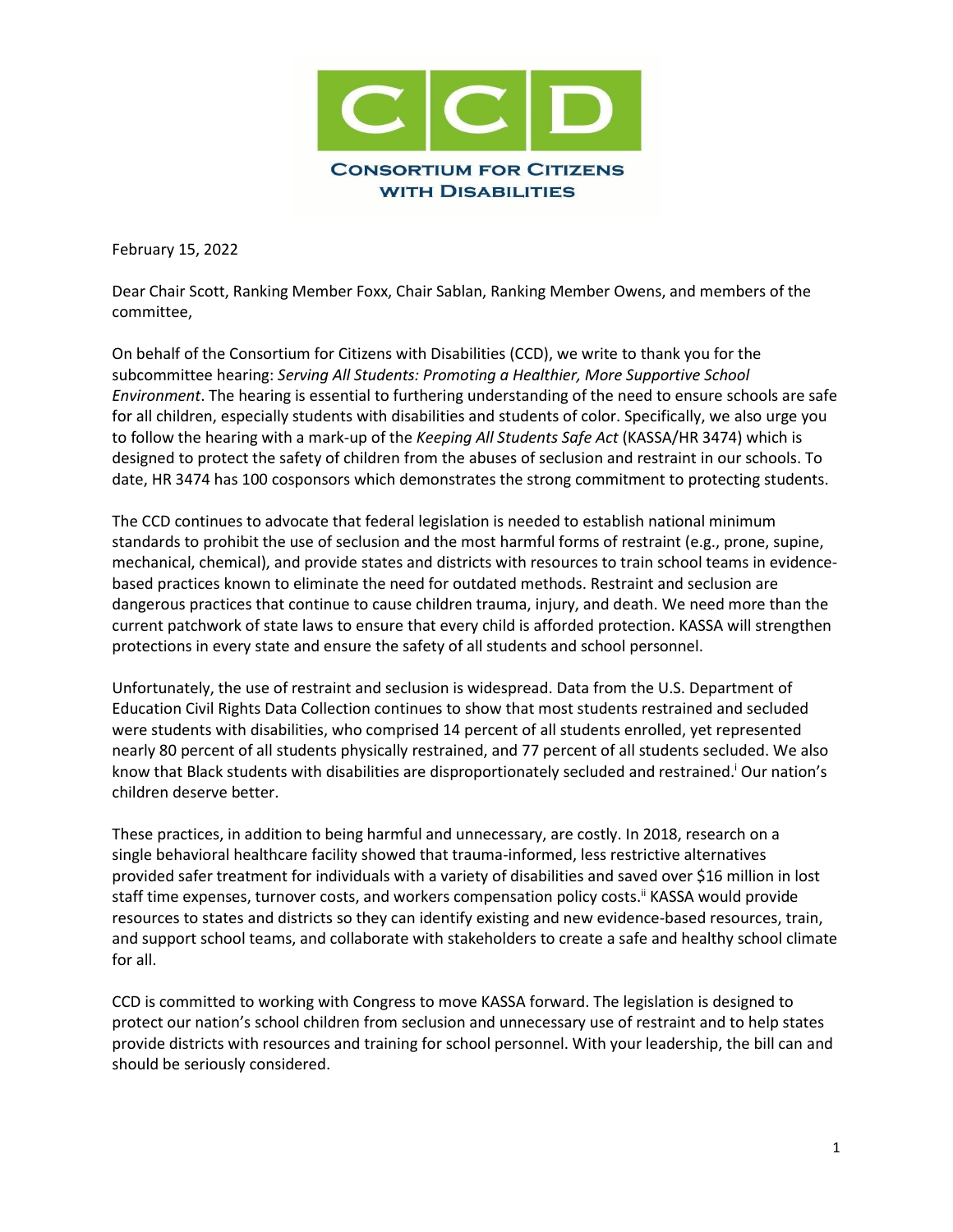

February 15, 2022

Dear Chair Scott, Ranking Member Foxx, Chair Sablan, Ranking Member Owens, and members of the committee,

On behalf of the Consortium for Citizens with Disabilities (CCD), we write to thank you for the subcommittee hearing: *Serving All Students: Promoting a Healthier, More Supportive School Environment*. The hearing is essential to furthering understanding of the need to ensure schools are safe for all children, especially students with disabilities and students of color. Specifically, we also urge you to follow the hearing with a mark-up of the *Keeping All Students Safe Act* (KASSA/HR 3474) which is designed to protect the safety of children from the abuses of seclusion and restraint in our schools. To date, HR 3474 has 100 cosponsors which demonstrates the strong commitment to protecting students.

The CCD continues to advocate that federal legislation is needed to establish national minimum standards to prohibit the use of seclusion and the most harmful forms of restraint (e.g., prone, supine, mechanical, chemical), and provide states and districts with resources to train school teams in evidencebased practices known to eliminate the need for outdated methods. Restraint and seclusion are dangerous practices that continue to cause children trauma, injury, and death. We need more than the current patchwork of state laws to ensure that every child is afforded protection. KASSA will strengthen protections in every state and ensure the safety of all students and school personnel.

Unfortunately, the use of restraint and seclusion is widespread. Data from the U.S. Department of Education Civil Rights Data Collection continues to show that most students restrained and secluded were students with disabilities, who comprised 14 percent of all students enrolled, yet represented nearly 80 percent of all students physically restrained, and 77 percent of all students secluded. We also know that Black students with disabilities are disproportionately secluded and restrained.<sup>1</sup> Our nation's children deserve better.

These practices, in addition to being harmful and unnecessary, are costly. In 2018, research on a single behavioral healthcare facility showed that trauma-informed, less restrictive alternatives provided safer treatment for individuals with a variety of disabilities and saved over \$16 million in lost staff time expenses, turnover costs, and workers compensation policy costs.<sup>ii</sup> KASSA would provide resources to states and districts so they can identify existing and new evidence-based resources, train, and support school teams, and collaborate with stakeholders to create a safe and healthy school climate for all.

CCD is committed to working with Congress to move KASSA forward. The legislation is designed to protect our nation's school children from seclusion and unnecessary use of restraint and to help states provide districts with resources and training for school personnel. With your leadership, the bill can and should be seriously considered.